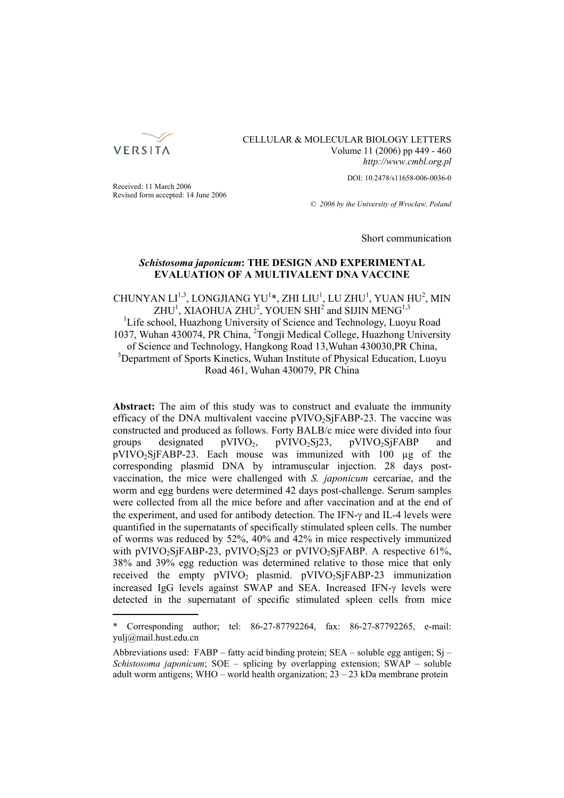

CELLULAR & MOLECULAR BIOLOGY LETTERS Volume 11 (2006) pp 449 - 460 *http://www.cmbl.org.pl*

DOI: 10.2478/s11658-006-0036-0

Received: 11 March 2006 Revised form accepted: 14 June 2006

*© 2006 by the University of Wrocław, Poland*

Short communication

# *Schistosoma japonicum***: THE DESIGN AND EXPERIMENTAL EVALUATION OF A MULTIVALENT DNA VACCINE**

CHUNYAN  $LI^{1,3}$ , LONGJIANG YU<sup>1</sup>\*, ZHI LIU<sup>1</sup>, LU ZHU<sup>1</sup>, YUAN HU<sup>2</sup>, MIN  $\mathrm{ZHU}^{1}, \,\mathrm{XIAOHUA}$   $\mathrm{ZHU}^{2}, \,\mathrm{YOUEN}$   $\mathrm{SHI}^{2}$  and  $\mathrm{SIJIN}$   $\mathrm{MENG}^{1,3}$ <sup>1</sup>Life school, Huazhong University of Science and Technology, Luoyu Road

1037, Wuhan 430074, PR China, <sup>2</sup>Tongji Medical College, Huazhong University of Science and Technology, Hangkong Road 13,Wuhan 430030,PR China, <sup>3</sup>Department of Sports Kinetics, Wuhan Institute of Physical Education, Luoyu Road 461, Wuhan 430079, PR China

**Abstract:** The aim of this study was to construct and evaluate the immunity efficacy of the DNA multivalent vaccine  $pVIVO<sub>2</sub>SjFABP-23$ . The vaccine was constructed and produced as follows. Forty BALB/c mice were divided into four groups designated  $pVIVO_2$ ,  $pVIVO_2Si23$ ,  $pVIVO_2SiFABP$  and pVIVO<sub>2</sub>SjFABP-23. Each mouse was immunized with 100 µg of the corresponding plasmid DNA by intramuscular injection. 28 days postvaccination, the mice were challenged with *S. japonicum* cercariae, and the worm and egg burdens were determined 42 days post-challenge. Serum samples were collected from all the mice before and after vaccination and at the end of the experiment, and used for antibody detection. The IFN-γ and IL-4 levels were quantified in the supernatants of specifically stimulated spleen cells. The number of worms was reduced by 52%, 40% and 42% in mice respectively immunized with pVIVO<sub>2</sub>SjFABP-23, pVIVO<sub>2</sub>Sj23 or pVIVO<sub>2</sub>SjFABP. A respective 61%, 38% and 39% egg reduction was determined relative to those mice that only received the empty  $pVIVO_2$  plasmid.  $pVIVO_2S$  jFABP-23 immunization increased IgG levels against SWAP and SEA. Increased IFN-γ levels were detected in the supernatant of specific stimulated spleen cells from mice

Corresponding author; tel: 86-27-87792264, fax: 86-27-87792265, e-mail: yulj@mail.hust.edu.cn

Abbreviations used: FABP – fatty acid binding protein;  $SEA$  – soluble egg antigen;  $Si$  – *Schistosoma japonicum*; SOE – splicing by overlapping extension; SWAP – soluble adult worm antigens; WHO – world health organization;  $23 - 23$  kDa membrane protein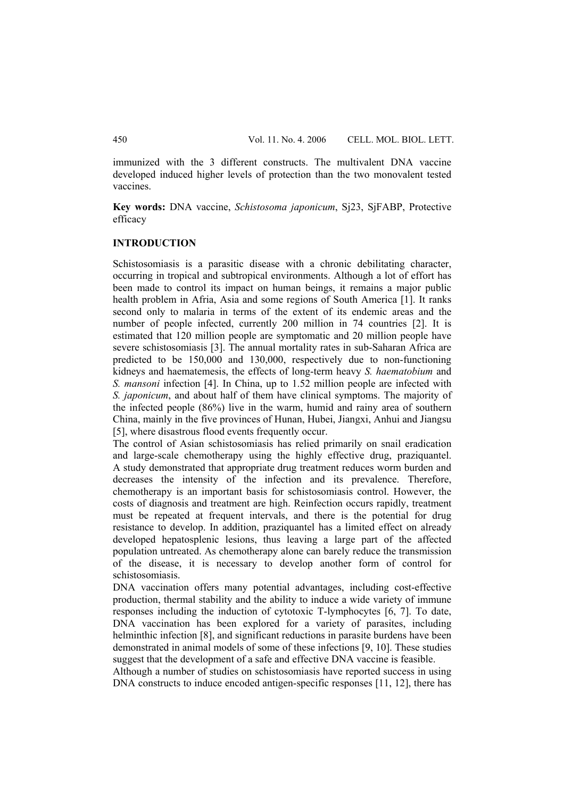immunized with the 3 different constructs. The multivalent DNA vaccine developed induced higher levels of protection than the two monovalent tested vaccines.

**Key words:** DNA vaccine, *Schistosoma japonicum*, Sj23, SjFABP, Protective efficacy

# **INTRODUCTION**

Schistosomiasis is a parasitic disease with a chronic debilitating character, occurring in tropical and subtropical environments. Although a lot of effort has been made to control its impact on human beings, it remains a major public health problem in Afria, Asia and some regions of South America [1]. It ranks second only to malaria in terms of the extent of its endemic areas and the number of people infected, currently 200 million in 74 countries [2]. It is estimated that 120 million people are symptomatic and 20 million people have severe schistosomiasis [3]. The annual mortality rates in sub-Saharan Africa are predicted to be 150,000 and 130,000, respectively due to non-functioning kidneys and haematemesis, the effects of long-term heavy *S. haematobium* and *S. mansoni* infection [4]. In China, up to 1.52 million people are infected with *S. japonicum*, and about half of them have clinical symptoms. The majority of the infected people (86%) live in the warm, humid and rainy area of southern China, mainly in the five provinces of Hunan, Hubei, Jiangxi, Anhui and Jiangsu [5], where disastrous flood events frequently occur.

The control of Asian schistosomiasis has relied primarily on snail eradication and large-scale chemotherapy using the highly effective drug, praziquantel. A study demonstrated that appropriate drug treatment reduces worm burden and decreases the intensity of the infection and its prevalence. Therefore, chemotherapy is an important basis for schistosomiasis control. However, the costs of diagnosis and treatment are high. Reinfection occurs rapidly, treatment must be repeated at frequent intervals, and there is the potential for drug resistance to develop. In addition, praziquantel has a limited effect on already developed hepatosplenic lesions, thus leaving a large part of the affected population untreated. As chemotherapy alone can barely reduce the transmission of the disease, it is necessary to develop another form of control for schistosomiasis.

DNA vaccination offers many potential advantages, including cost-effective production, thermal stability and the ability to induce a wide variety of immune responses including the induction of cytotoxic T-lymphocytes [6, 7]. To date, DNA vaccination has been explored for a variety of parasites, including helminthic infection [8], and significant reductions in parasite burdens have been demonstrated in animal models of some of these infections [9, 10]. These studies suggest that the development of a safe and effective DNA vaccine is feasible.

Although a number of studies on schistosomiasis have reported success in using DNA constructs to induce encoded antigen-specific responses [11, 12], there has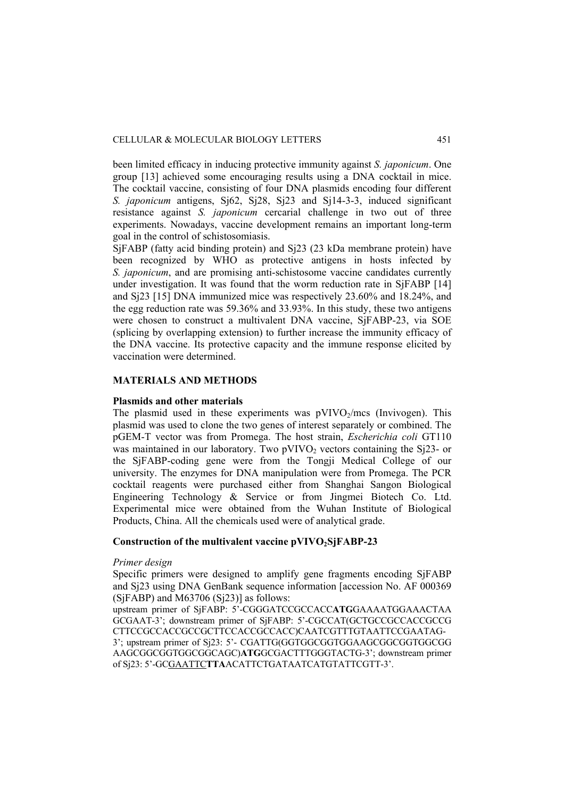been limited efficacy in inducing protective immunity against *S. japonicum*. One group [13] achieved some encouraging results using a DNA cocktail in mice. The cocktail vaccine, consisting of four DNA plasmids encoding four different *S. japonicum* antigens, Sj62, Sj28, Sj23 and Sj14-3-3, induced significant resistance against *S. japonicum* cercarial challenge in two out of three experiments. Nowadays, vaccine development remains an important long-term goal in the control of schistosomiasis.

SjFABP (fatty acid binding protein) and Sj23 (23 kDa membrane protein) have been recognized by WHO as protective antigens in hosts infected by *S. japonicum*, and are promising anti-schistosome vaccine candidates currently under investigation. It was found that the worm reduction rate in SjFABP [14] and Sj23 [15] DNA immunized mice was respectively 23.60% and 18.24%, and the egg reduction rate was 59.36% and 33.93%. In this study, these two antigens were chosen to construct a multivalent DNA vaccine, SjFABP-23, via SOE (splicing by overlapping extension) to further increase the immunity efficacy of the DNA vaccine. Its protective capacity and the immune response elicited by vaccination were determined.

# **MATERIALS AND METHODS**

#### **Plasmids and other materials**

The plasmid used in these experiments was  $pVIVO<sub>2</sub>/mcs$  (Invivogen). This plasmid was used to clone the two genes of interest separately or combined. The pGEM-T vector was from Promega. The host strain, *Escherichia coli* GT110 was maintained in our laboratory. Two  $pVIVO<sub>2</sub>$  vectors containing the S $j23$ - or the SjFABP-coding gene were from the Tongji Medical College of our university. The enzymes for DNA manipulation were from Promega. The PCR cocktail reagents were purchased either from Shanghai Sangon Biological Engineering Technology & Service or from Jingmei Biotech Co. Ltd. Experimental mice were obtained from the Wuhan Institute of Biological Products, China. All the chemicals used were of analytical grade.

#### Construction of the multivalent vaccine pVIVO<sub>2</sub>SjFABP-23

### *Primer design*

Specific primers were designed to amplify gene fragments encoding SjFABP and Sj23 using DNA GenBank sequence information [accession No. AF 000369  $(SiFABP)$  and M63706  $(Si23)$ ] as follows:

upstream primer of SjFABP: 5'-CGGGATCCGCCACC**ATG**GAAAATGGAAACTAA GCGAAT-3'; downstream primer of SjFABP: 5'-CGCCAT(GCTGCCGCCACCGCCG CTTCCGCCACCGCCGCTTCCACCGCCACC)CAATCGTTTGTAATTCCGAATAG-3'; upstream primer of Sj23: 5'- CGATTG(GGTGGCGGTGGAAGCGGCGGTGGCGG AAGCGGCGGTGGCGGCAGC)**ATG**GCGACTTTGGGTACTG-3'; downstream primer of Sj23: 5'-GCGAATTC**TTA**ACATTCTGATAATCATGTATTCGTT-3'.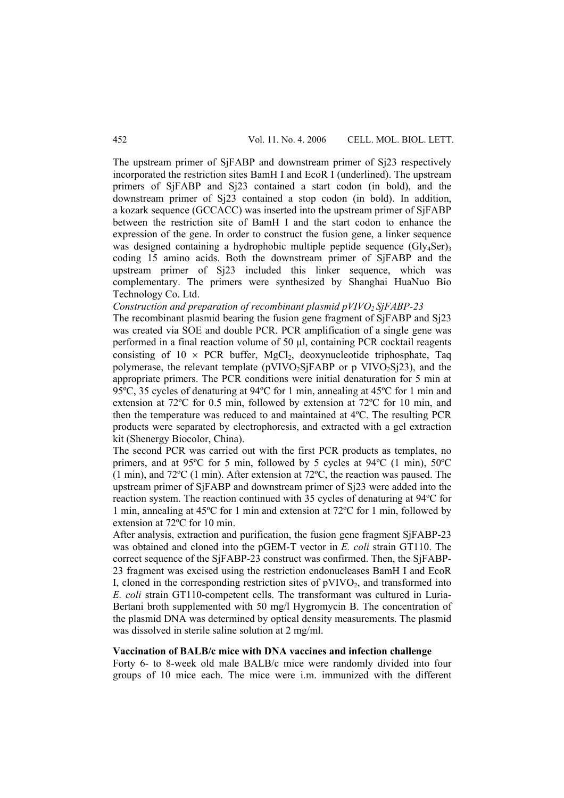The upstream primer of SjFABP and downstream primer of Sj23 respectively incorporated the restriction sites BamH I and EcoR I (underlined). The upstream primers of SjFABP and Sj23 contained a start codon (in bold), and the downstream primer of Sj23 contained a stop codon (in bold). In addition, a kozark sequence (GCCACC) was inserted into the upstream primer of SjFABP between the restriction site of BamH I and the start codon to enhance the expression of the gene. In order to construct the fusion gene, a linker sequence was designed containing a hydrophobic multiple peptide sequence  $(Gly_4\text{Ser})_3$ coding 15 amino acids. Both the downstream primer of SjFABP and the upstream primer of Sj23 included this linker sequence, which was complementary. The primers were synthesized by Shanghai HuaNuo Bio Technology Co. Ltd.

*Construction and preparation of recombinant plasmid pVIVO<sub>2</sub> SjFABP-23* 

The recombinant plasmid bearing the fusion gene fragment of SjFABP and Sj23 was created via SOE and double PCR. PCR amplification of a single gene was performed in a final reaction volume of 50 µl, containing PCR cocktail reagents consisting of  $10 \times PCR$  buffer, MgCl<sub>2</sub>, deoxynucleotide triphosphate, Taq polymerase, the relevant template ( $pVIVO_2SiFABP$  or p  $VIVO_2Si23$ ), and the appropriate primers. The PCR conditions were initial denaturation for 5 min at 95ºC, 35 cycles of denaturing at 94ºC for 1 min, annealing at 45ºC for 1 min and extension at 72ºC for 0.5 min, followed by extension at 72ºC for 10 min, and then the temperature was reduced to and maintained at 4ºC. The resulting PCR products were separated by electrophoresis, and extracted with a gel extraction kit (Shenergy Biocolor, China).

The second PCR was carried out with the first PCR products as templates, no primers, and at 95ºC for 5 min, followed by 5 cycles at 94ºC (1 min), 50ºC (1 min), and 72ºC (1 min). After extension at 72ºC, the reaction was paused. The upstream primer of SjFABP and downstream primer of Sj23 were added into the reaction system. The reaction continued with 35 cycles of denaturing at 94ºC for 1 min, annealing at 45ºC for 1 min and extension at 72ºC for 1 min, followed by extension at 72ºC for 10 min.

After analysis, extraction and purification, the fusion gene fragment SjFABP-23 was obtained and cloned into the pGEM-T vector in *E. coli* strain GT110. The correct sequence of the SjFABP-23 construct was confirmed. Then, the SjFABP-23 fragment was excised using the restriction endonucleases BamH I and EcoR I, cloned in the corresponding restriction sites of  $pVIVO<sub>2</sub>$ , and transformed into *E. coli* strain GT110-competent cells. The transformant was cultured in Luria-Bertani broth supplemented with 50 mg/l Hygromycin B. The concentration of the plasmid DNA was determined by optical density measurements. The plasmid was dissolved in sterile saline solution at 2 mg/ml.

# **Vaccination of BALB/c mice with DNA vaccines and infection challenge**

Forty 6- to 8-week old male BALB/c mice were randomly divided into four groups of 10 mice each. The mice were i.m. immunized with the different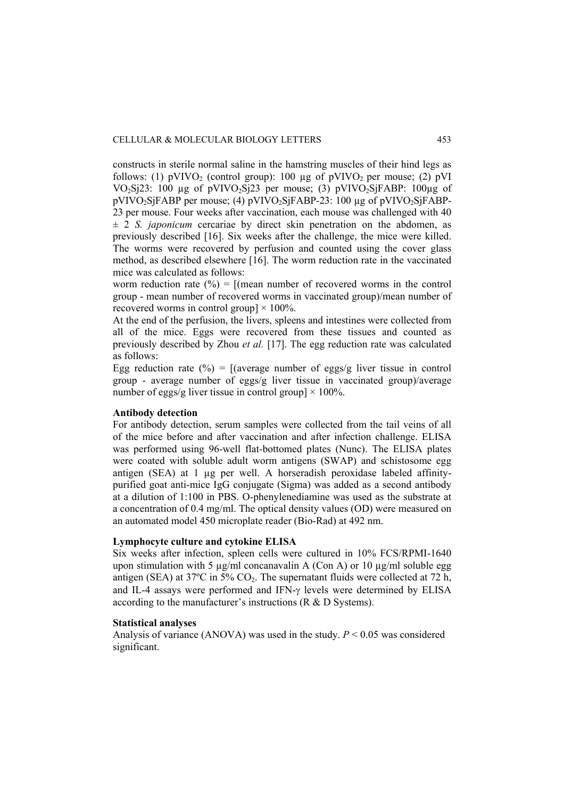constructs in sterile normal saline in the hamstring muscles of their hind legs as follows: (1)  $pVIVO<sub>2</sub>$  (control group): 100 µg of  $pVIVO<sub>2</sub>$  per mouse; (2)  $pVI$ VO<sub>2</sub>Sj23: 100 ug of pVIVO<sub>2</sub>Sj23 per mouse; (3) pVIVO<sub>2</sub>SjFABP: 100ug of pVIVO<sub>2</sub>SjFABP per mouse; (4) pVIVO<sub>2</sub>SjFABP-23: 100 µg of pVIVO<sub>2</sub>SjFABP-23 per mouse. Four weeks after vaccination, each mouse was challenged with 40  $\pm$  2 *S. japonicum* cercariae by direct skin penetration on the abdomen, as previously described [16]. Six weeks after the challenge, the mice were killed. The worms were recovered by perfusion and counted using the cover glass method, as described elsewhere [16]. The worm reduction rate in the vaccinated mice was calculated as follows:

worm reduction rate  $(\%) = [(\text{mean number of recovered worms in the control})$ group - mean number of recovered worms in vaccinated group)/mean number of recovered worms in control group]  $\times$  100%.

At the end of the perfusion, the livers, spleens and intestines were collected from all of the mice. Eggs were recovered from these tissues and counted as previously described by Zhou *et al.* [17]. The egg reduction rate was calculated as follows:

Egg reduction rate  $(\%)$  = [(average number of eggs/g liver tissue in control group - average number of eggs/g liver tissue in vaccinated group)/average number of eggs/g liver tissue in control group]  $\times$  100%.

# **Antibody detection**

For antibody detection, serum samples were collected from the tail veins of all of the mice before and after vaccination and after infection challenge. ELISA was performed using 96-well flat-bottomed plates (Nunc). The ELISA plates were coated with soluble adult worm antigens (SWAP) and schistosome egg antigen (SEA) at 1 µg per well. A horseradish peroxidase labeled affinitypurified goat anti-mice IgG conjugate (Sigma) was added as a second antibody at a dilution of 1:100 in PBS. O-phenylenediamine was used as the substrate at a concentration of 0.4 mg/ml. The optical density values (OD) were measured on an automated model 450 microplate reader (Bio-Rad) at 492 nm.

#### **Lymphocyte culture and cytokine ELISA**

Six weeks after infection, spleen cells were cultured in 10% FCS/RPMI-1640 upon stimulation with 5  $\mu$ g/ml concanavalin A (Con A) or 10  $\mu$ g/ml soluble egg antigen (SEA) at  $37^{\circ}$ C in  $5\%$  CO<sub>2</sub>. The supernatant fluids were collected at 72 h, and IL-4 assays were performed and IFN-γ levels were determined by ELISA according to the manufacturer's instructions (R & D Systems).

# **Statistical analyses**

Analysis of variance (ANOVA) was used in the study. *P* < 0.05 was considered significant.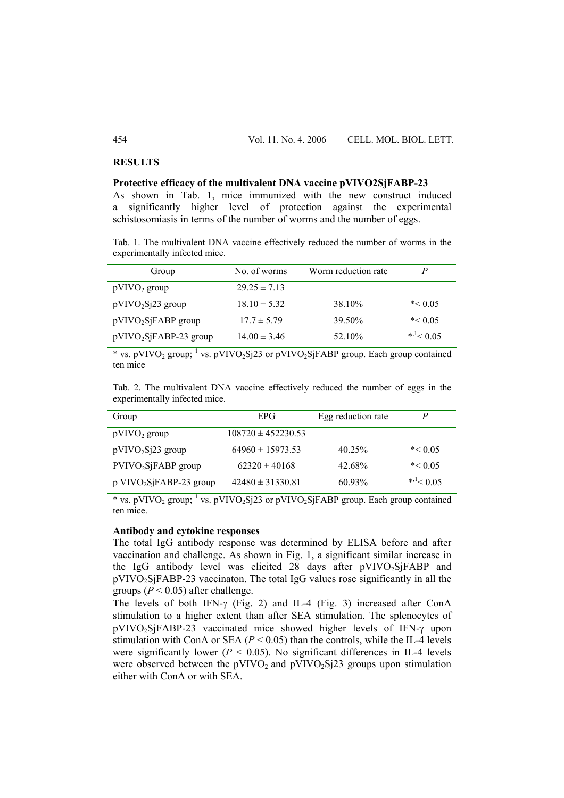### **RESULTS**

#### **Protective efficacy of the multivalent DNA vaccine pVIVO2SjFABP-23**

As shown in Tab. 1, mice immunized with the new construct induced a significantly higher level of protection against the experimental schistosomiasis in terms of the number of worms and the number of eggs.

Tab. 1. The multivalent DNA vaccine effectively reduced the number of worms in the experimentally infected mice.

| Group                    | No. of worms     | Worm reduction rate | P                       |
|--------------------------|------------------|---------------------|-------------------------|
| $pVIVO_2$ group          | $29.25 \pm 7.13$ |                     |                         |
| $pVIVO_2Si23$ group      | $18.10 \pm 5.32$ | 38.10%              | $* < 0.05$              |
| $pVIVO_2S$ FABP group    | $17.7 \pm 5.79$  | 39.50%              | $* < 0.05$              |
| $pVIVO_2SjFABP-23$ group | $14.00 \pm 3.46$ | 52.10%              | $*$ <sup>1</sup> < 0.05 |

\* vs. pVIVO<sub>2</sub> group; <sup>1</sup> vs. pVIVO<sub>2</sub>Sj23 or pVIVO<sub>2</sub>SjFABP group. Each group contained ten mice

Tab. 2. The multivalent DNA vaccine effectively reduced the number of eggs in the experimentally infected mice.

| Group                                 | EPG                    | Egg reduction rate |                  |
|---------------------------------------|------------------------|--------------------|------------------|
| $pVIVO_2$ group                       | $108720 \pm 452230.53$ |                    |                  |
| $pVIVO_2Si23$ group                   | $64960 \pm 15973.53$   | $40.25\%$          | $* < 0.05$       |
| $PVIVO2SjFABP$ group                  | $62320 \pm 40168$      | 42.68%             | $* < 0.05$       |
| $p$ VIVO <sub>2</sub> SjFABP-23 group | $42480 \pm 31330.81$   | $60.93\%$          | * $^{-1}$ < 0.05 |

\* vs. pVIVO<sub>2</sub> group; <sup>1</sup> vs. pVIVO<sub>2</sub>Sj23 or pVIVO<sub>2</sub>SjFABP group. Each group contained ten mice.

### **Antibody and cytokine responses**

The total IgG antibody response was determined by ELISA before and after vaccination and challenge. As shown in Fig. 1, a significant similar increase in the IgG antibody level was elicited 28 days after  $pVIVO<sub>2</sub>SiFABP$  and pVIVO2SjFABP-23 vaccinaton. The total IgG values rose significantly in all the groups ( $P < 0.05$ ) after challenge.

The levels of both IFN-γ (Fig. 2) and IL-4 (Fig. 3) increased after ConA stimulation to a higher extent than after SEA stimulation. The splenocytes of pVIVO<sub>2</sub>SiFABP-23 vaccinated mice showed higher levels of IFN-γ upon stimulation with ConA or SEA  $(P < 0.05)$  than the controls, while the IL-4 levels were significantly lower ( $P < 0.05$ ). No significant differences in IL-4 levels were observed between the  $pVIVO<sub>2</sub>$  and  $pVIVO<sub>2</sub>Si23$  groups upon stimulation either with ConA or with SEA.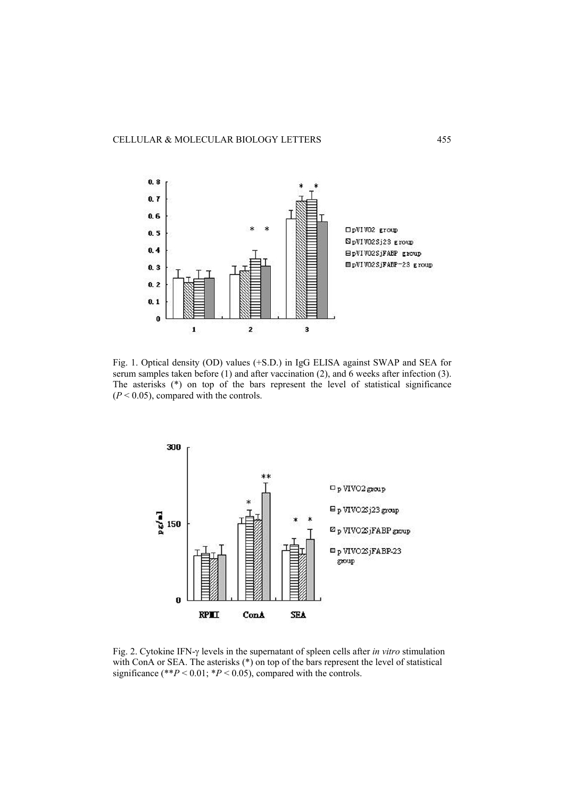

Fig. 1. Optical density (OD) values (+S.D.) in IgG ELISA against SWAP and SEA for serum samples taken before (1) and after vaccination (2), and 6 weeks after infection (3). The asterisks (\*) on top of the bars represent the level of statistical significance  $(P < 0.05)$ , compared with the controls.



Fig. 2. Cytokine IFN-γ levels in the supernatant of spleen cells after *in vitro* stimulation with ConA or SEA. The asterisks (\*) on top of the bars represent the level of statistical significance (\*\* $P < 0.01$ ; \* $P < 0.05$ ), compared with the controls.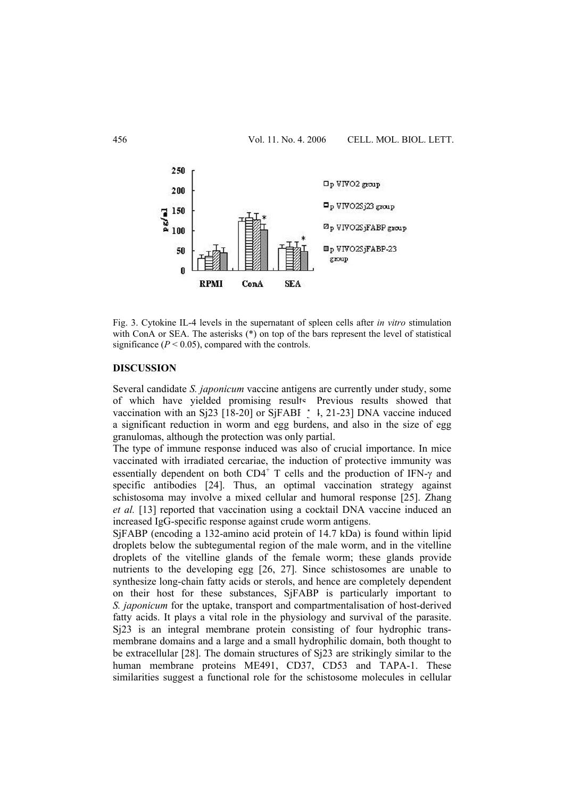

Fig. 3. Cytokine IL-4 levels in the supernatant of spleen cells after *in vitro* stimulation with ConA or SEA. The asterisks (\*) on top of the bars represent the level of statistical significance  $(P < 0.05)$ , compared with the controls.

# **DISCUSSION**

Several candidate *S. japonicum* vaccine antigens are currently under study, some of which have yielded promising results. Previous results showed that vaccination with an Sj23 [18-20] or SjFABI  $\pm$  1, 21-23] DNA vaccine induced a significant reduction in worm and egg burdens, and also in the size of egg granulomas, although the protection was only partial.

The type of immune response induced was also of crucial importance. In mice vaccinated with irradiated cercariae, the induction of protective immunity was essentially dependent on both  $CD4^+$  T cells and the production of IFN- $\gamma$  and specific antibodies [24]. Thus, an optimal vaccination strategy against schistosoma may involve a mixed cellular and humoral response [25]. Zhang *et al.* [13] reported that vaccination using a cocktail DNA vaccine induced an increased IgG-specific response against crude worm antigens.

SjFABP (encoding a 132-amino acid protein of 14.7 kDa) is found within lipid droplets below the subtegumental region of the male worm, and in the vitelline droplets of the vitelline glands of the female worm; these glands provide nutrients to the developing egg [26, 27]. Since schistosomes are unable to synthesize long-chain fatty acids or sterols, and hence are completely dependent on their host for these substances, SjFABP is particularly important to *S. japonicum* for the uptake, transport and compartmentalisation of host-derived fatty acids. It plays a vital role in the physiology and survival of the parasite. Sj23 is an integral membrane protein consisting of four hydrophic transmembrane domains and a large and a small hydrophilic domain, both thought to be extracellular [28]. The domain structures of Sj23 are strikingly similar to the human membrane proteins ME491, CD37, CD53 and TAPA-1. These similarities suggest a functional role for the schistosome molecules in cellular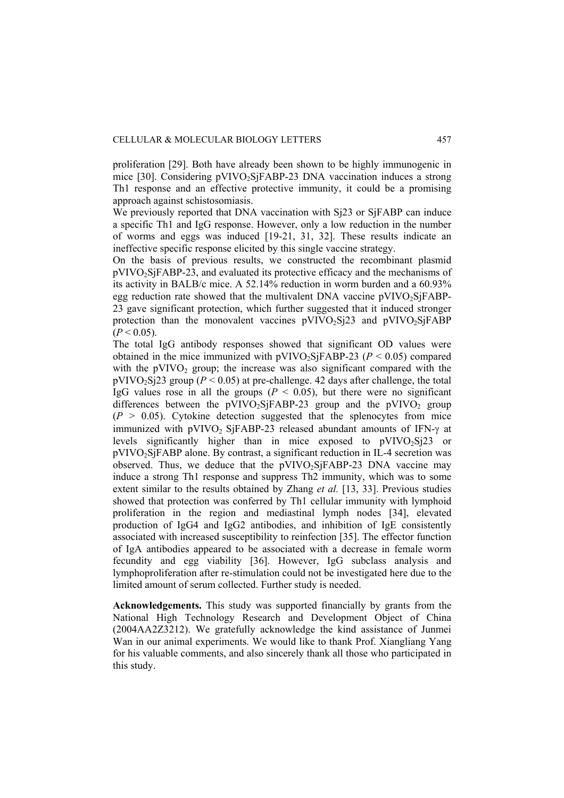proliferation [29]. Both have already been shown to be highly immunogenic in mice [30]. Considering pVIVO<sub>2</sub>SjFABP-23 DNA vaccination induces a strong Th1 response and an effective protective immunity, it could be a promising approach against schistosomiasis.

We previously reported that DNA vaccination with Si23 or SiFABP can induce a specific Th1 and IgG response. However, only a low reduction in the number of worms and eggs was induced [19-21, 31, 32]. These results indicate an ineffective specific response elicited by this single vaccine strategy.

On the basis of previous results, we constructed the recombinant plasmid pVIVO2SjFABP-23, and evaluated its protective efficacy and the mechanisms of its activity in BALB/c mice. A 52.14% reduction in worm burden and a 60.93% egg reduction rate showed that the multivalent DNA vaccine  $pVIVO<sub>2</sub>SiFABP-$ 23 gave significant protection, which further suggested that it induced stronger protection than the monovalent vaccines  $pVIVO<sub>2</sub>Si23$  and  $pVIVO<sub>2</sub>SiFABP$  $(P < 0.05)$ .

The total IgG antibody responses showed that significant OD values were obtained in the mice immunized with  $pVIVO_2SiFABP-23$  ( $P < 0.05$ ) compared with the  $pVIVO_2$  group; the increase was also significant compared with the  $pVIVO_2Si23$  group ( $P < 0.05$ ) at pre-challenge. 42 days after challenge, the total IgG values rose in all the groups  $(P \le 0.05)$ , but there were no significant differences between the  $pVIVO<sub>2</sub>SiFABP-23$  group and the  $pVIVO<sub>2</sub>$  group  $(P > 0.05)$ . Cytokine detection suggested that the splenocytes from mice immunized with pVIVO<sub>2</sub> SjFABP-23 released abundant amounts of IFN- $\gamma$  at levels significantly higher than in mice exposed to  $pVIVO<sub>2</sub>Si23$  or pVIVO2SjFABP alone. By contrast, a significant reduction in IL-4 secretion was observed. Thus, we deduce that the pVIVO<sub>2</sub>SiFABP-23 DNA vaccine may induce a strong Th1 response and suppress Th2 immunity, which was to some extent similar to the results obtained by Zhang *et al.* [13, 33]. Previous studies showed that protection was conferred by Th1 cellular immunity with lymphoid proliferation in the region and mediastinal lymph nodes [34], elevated production of IgG4 and IgG2 antibodies, and inhibition of IgE consistently associated with increased susceptibility to reinfection [35]. The effector function of IgA antibodies appeared to be associated with a decrease in female worm fecundity and egg viability [36]. However, IgG subclass analysis and lymphoproliferation after re-stimulation could not be investigated here due to the limited amount of serum collected. Further study is needed.

**Acknowledgements.** This study was supported financially by grants from the National High Technology Research and Development Object of China (2004AA2Z3212). We gratefully acknowledge the kind assistance of Junmei Wan in our animal experiments. We would like to thank Prof. Xiangliang Yang for his valuable comments, and also sincerely thank all those who participated in this study.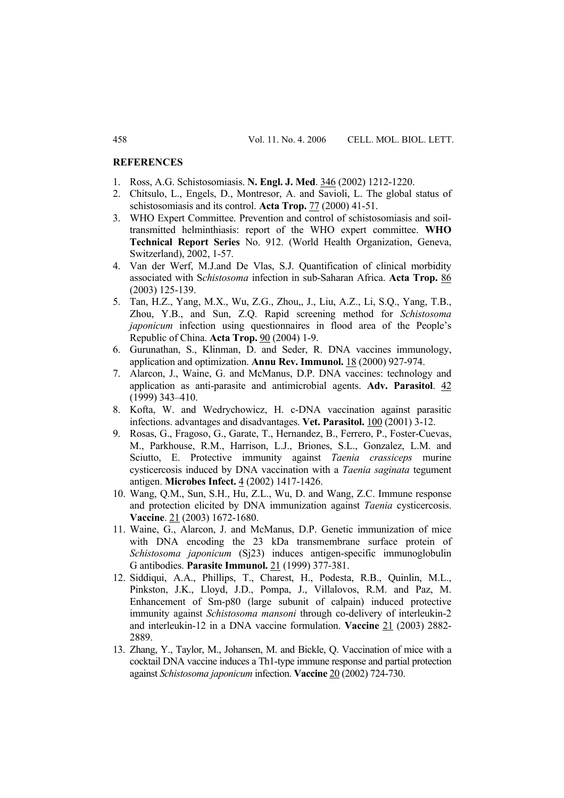#### **REFERENCES**

- 1. Ross, A.G. Schistosomiasis. **N. Engl. J. Med**. 346 (2002) 1212-1220.
- 2. Chitsulo, L., Engels, D., Montresor, A. and Savioli, L. The global status of schistosomiasis and its control. **Acta Trop.** 77 (2000) 41-51.
- 3. WHO Expert Committee. Prevention and control of schistosomiasis and soiltransmitted helminthiasis: report of the WHO expert committee. **WHO Technical Report Series** No. 912. (World Health Organization, Geneva, Switzerland), 2002, 1-57.
- 4. Van der Werf, M.J.and De Vlas, S.J. Quantification of clinical morbidity associated with S*chistosoma* infection in sub-Saharan Africa. **Acta Trop.** 86 (2003) 125-139.
- 5. Tan, H.Z., Yang, M.X., Wu, Z.G., Zhou,, J., Liu, A.Z., Li, S.Q., Yang, T.B., Zhou, Y.B., and Sun, Z.Q. Rapid screening method for *Schistosoma japonicum* infection using questionnaires in flood area of the People's Republic of China. **Acta Trop.** 90 (2004) 1-9.
- 6. Gurunathan, S., Klinman, D. and Seder, R. DNA vaccines immunology, application and optimization. **Annu Rev. Immunol.** 18 (2000) 927-974.
- 7. Alarcon, J., Waine, G. and McManus, D.P. DNA vaccines: technology and application as anti-parasite and antimicrobial agents. **Adv. Parasitol**. 42 (1999) 343–410.
- 8. Kofta, W. and Wedrychowicz, H. c-DNA vaccination against parasitic infections. advantages and disadvantages. **Vet. Parasitol.** 100 (2001) 3-12.
- 9. Rosas, G., Fragoso, G., Garate, T., Hernandez, B., Ferrero, P., Foster-Cuevas, M., Parkhouse, R.M., Harrison, L.J., Briones, S.L., Gonzalez, L.M. and Sciutto, E. Protective immunity against *Taenia crassiceps* murine cysticercosis induced by DNA vaccination with a *Taenia saginata* tegument antigen. **Microbes Infect.** 4 (2002) 1417-1426.
- 10. Wang, Q.M., Sun, S.H., Hu, Z.L., Wu, D. and Wang, Z.C. Immune response and protection elicited by DNA immunization against *Taenia* cysticercosis. **Vaccine**. 21 (2003) 1672-1680.
- 11. Waine, G., Alarcon, J. and McManus, D.P. Genetic immunization of mice with DNA encoding the 23 kDa transmembrane surface protein of *Schistosoma japonicum* (Sj23) induces antigen-specific immunoglobulin G antibodies. **Parasite Immunol.** 21 (1999) 377-381.
- 12. Siddiqui, A.A., Phillips, T., Charest, H., Podesta, R.B., Quinlin, M.L., Pinkston, J.K., Lloyd, J.D., Pompa, J., Villalovos, R.M. and Paz, M. Enhancement of Sm-p80 (large subunit of calpain) induced protective immunity against *Schistosoma mansoni* through co-delivery of interleukin-2 and interleukin-12 in a DNA vaccine formulation. **Vaccine** 21 (2003) 2882- 2889.
- 13. Zhang, Y., Taylor, M., Johansen, M. and Bickle, Q. Vaccination of mice with a cocktail DNA vaccine induces a Th1-type immune response and partial protection against *Schistosoma japonicum* infection. **Vaccine** 20 (2002) 724-730.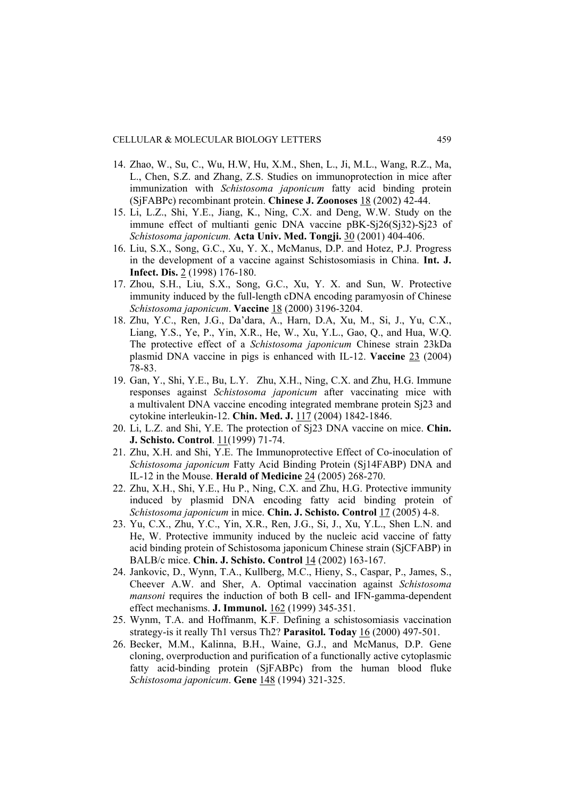- 14. Zhao, W., Su, C., Wu, H.W, Hu, X.M., Shen, L., Ji, M.L., Wang, R.Z., Ma, L., Chen, S.Z. and Zhang, Z.S. Studies on immunoprotection in mice after immunization with *Schistosoma japonicum* fatty acid binding protein (SjFABPc) recombinant protein. **Chinese J. Zoonoses** 18 (2002) 42-44.
- 15. Li, L.Z., Shi, Y.E., Jiang, K., Ning, C.X. and Deng, W.W. Study on the immune effect of multianti genic DNA vaccine pBK-Sj26(Sj32)-Sj23 of *Schistosoma japonicum.* **Acta Univ. Med. Tongji.** 30 (2001) 404-406.
- 16. Liu, S.X., Song, G.C., Xu, Y. X., McManus, D.P. and Hotez, P.J. Progress in the development of a vaccine against Schistosomiasis in China. **Int. J. Infect. Dis.** 2 (1998) 176-180.
- 17. Zhou, S.H., Liu, S.X., Song, G.C., Xu, Y. X. and Sun, W. Protective immunity induced by the full-length cDNA encoding paramyosin of Chinese *Schistosoma japonicum*. **Vaccine** 18 (2000) 3196-3204.
- 18. Zhu, Y.C., Ren, J.G., Da'dara, A., Harn, D.A, Xu, M., Si, J., Yu, C.X., Liang, Y.S., Ye, P., Yin, X.R., He, W., Xu, Y.L., Gao, Q., and Hua, W.Q. The protective effect of a *Schistosoma japonicum* Chinese strain 23kDa plasmid DNA vaccine in pigs is enhanced with IL-12. **Vaccine** 23 (2004) 78-83.
- 19. Gan, Y., Shi, Y.E., Bu, L.Y.Zhu, X.H., Ning, C.X. and Zhu, H.G. Immune responses against *Schistosoma japonicum* after vaccinating mice with a multivalent DNA vaccine encoding integrated membrane protein Sj23 and cytokine interleukin-12. **Chin. Med. J.** 117 (2004) 1842-1846.
- 20. Li, L.Z. and Shi, Y.E. The protection of Sj23 DNA vaccine on mice. **Chin. J. Schisto. Control**. 11(1999) 71-74.
- 21. Zhu, X.H. and Shi, Y.E. The Immunoprotective Effect of Co-inoculation of *Schistosoma japonicum* Fatty Acid Binding Protein (Sj14FABP) DNA and IL-12 in the Mouse. **Herald of Medicine** 24 (2005) 268-270.
- 22. Zhu, X.H., Shi, Y.E., Hu P., Ning, C.X. and Zhu, H.G. Protective immunity induced by plasmid DNA encoding fatty acid binding protein of *Schistosoma japonicum* in mice. **Chin. J. Schisto. Control** 17 (2005) 4-8.
- 23. Yu, C.X., Zhu, Y.C., Yin, X.R., Ren, J.G., Si, J., Xu, Y.L., Shen L.N. and He, W. Protective immunity induced by the nucleic acid vaccine of fatty acid binding protein of Schistosoma japonicum Chinese strain (SjCFABP) in BALB/c mice. **Chin. J. Schisto. Control** 14 (2002) 163-167.
- 24. Jankovic, D., Wynn, T.A., Kullberg, M.C., Hieny, S., Caspar, P., James, S., Cheever A.W. and Sher, A. Optimal vaccination against *Schistosoma mansoni* requires the induction of both B cell- and IFN-gamma-dependent effect mechanisms. **J. Immunol.** 162 (1999) 345-351.
- 25. Wynm, T.A. and Hoffmanm, K.F. Defining a schistosomiasis vaccination strategy-is it really Th1 versus Th2? **Parasitol. Today** 16 (2000) 497-501.
- 26. Becker, M.M., Kalinna, B.H., Waine, G.J., and McManus, D.P. Gene cloning, overproduction and purification of a functionally active cytoplasmic fatty acid-binding protein (SjFABPc) from the human blood fluke *Schistosoma japonicum*. **Gene** 148 (1994) 321-325.